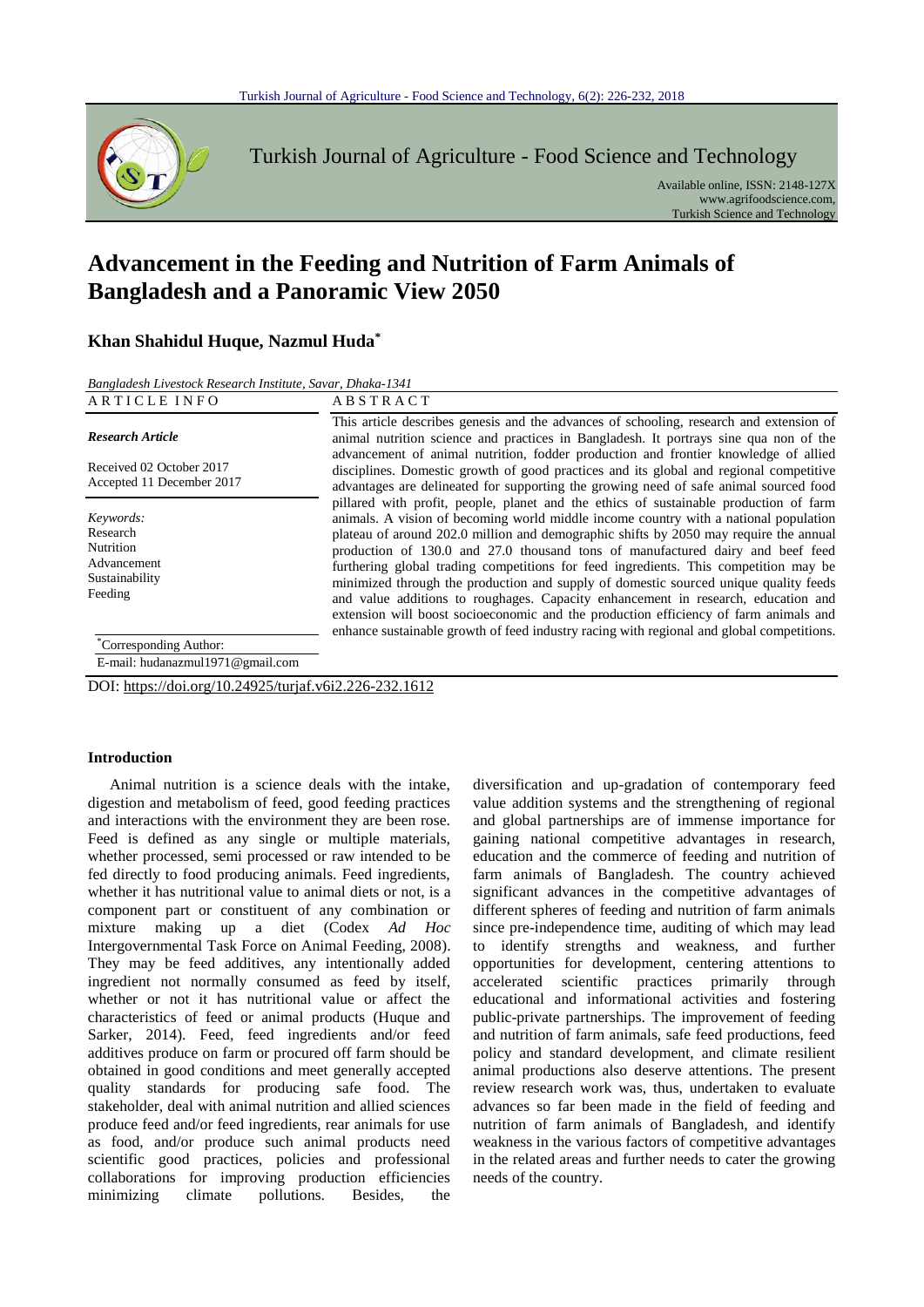

Turkish Journal of Agriculture - Food Science and Technology

Available online, ISSN: 2148-127X www.agrifoodscience.com, Turkish Science and Technology

# **Advancement in the Feeding and Nutrition of Farm Animals of Bangladesh and a Panoramic View 2050**

## **Khan Shahidul Huque, Nazmul Huda\***

*Bangladesh Livestock Research Institute, Savar, Dhaka-1341*

| ARTICLE INFO                                                                   | <b>ABSTRACT</b>                                                                                                                                                                                                                                                                                                                                                                                                                                                                                                                                                                                                                                                                                                                                                                                                    |
|--------------------------------------------------------------------------------|--------------------------------------------------------------------------------------------------------------------------------------------------------------------------------------------------------------------------------------------------------------------------------------------------------------------------------------------------------------------------------------------------------------------------------------------------------------------------------------------------------------------------------------------------------------------------------------------------------------------------------------------------------------------------------------------------------------------------------------------------------------------------------------------------------------------|
| <b>Research Article</b><br>Received 02 October 2017                            | This article describes genesis and the advances of schooling, research and extension of<br>animal nutrition science and practices in Bangladesh. It portrays sine qua non of the<br>advancement of animal nutrition, fodder production and frontier knowledge of allied<br>disciplines. Domestic growth of good practices and its global and regional competitive                                                                                                                                                                                                                                                                                                                                                                                                                                                  |
| Accepted 11 December 2017                                                      | advantages are delineated for supporting the growing need of safe animal sourced food                                                                                                                                                                                                                                                                                                                                                                                                                                                                                                                                                                                                                                                                                                                              |
| Keywords:<br>Research<br>Nutrition<br>Advancement<br>Sustainability<br>Feeding | pillared with profit, people, planet and the ethics of sustainable production of farm<br>animals. A vision of becoming world middle income country with a national population<br>plateau of around 202.0 million and demographic shifts by 2050 may require the annual<br>production of 130.0 and 27.0 thousand tons of manufactured dairy and beef feed<br>furthering global trading competitions for feed ingredients. This competition may be<br>minimized through the production and supply of domestic sourced unique quality feeds<br>and value additions to roughages. Capacity enhancement in research, education and<br>extension will boost socioeconomic and the production efficiency of farm animals and<br>enhance sustainable growth of feed industry racing with regional and global competitions. |
| <i>Corresponding Author:</i><br>E-mail: hudanazmul1971@gmail.com               |                                                                                                                                                                                                                                                                                                                                                                                                                                                                                                                                                                                                                                                                                                                                                                                                                    |
|                                                                                |                                                                                                                                                                                                                                                                                                                                                                                                                                                                                                                                                                                                                                                                                                                                                                                                                    |

DOI: https://doi.org/10.24925/turjaf.v6i2.226-232.1612

#### **Introduction**

Animal nutrition is a science deals with the intake, digestion and metabolism of feed, good feeding practices and interactions with the environment they are been rose. Feed is defined as any single or multiple materials, whether processed, semi processed or raw intended to be fed directly to food producing animals. Feed ingredients, whether it has nutritional value to animal diets or not, is a component part or constituent of any combination or mixture making up a diet (Codex *Ad Hoc* Intergovernmental Task Force on Animal Feeding, 2008). They may be feed additives, any intentionally added ingredient not normally consumed as feed by itself, whether or not it has nutritional value or affect the characteristics of feed or animal products (Huque and Sarker, 2014). Feed, feed ingredients and/or feed additives produce on farm or procured off farm should be obtained in good conditions and meet generally accepted quality standards for producing safe food. The stakeholder, deal with animal nutrition and allied sciences produce feed and/or feed ingredients, rear animals for use as food, and/or produce such animal products need scientific good practices, policies and professional collaborations for improving production efficiencies minimizing climate pollutions. Besides, the

diversification and up-gradation of contemporary feed value addition systems and the strengthening of regional and global partnerships are of immense importance for gaining national competitive advantages in research, education and the commerce of feeding and nutrition of farm animals of Bangladesh. The country achieved significant advances in the competitive advantages of different spheres of feeding and nutrition of farm animals since pre-independence time, auditing of which may lead to identify strengths and weakness, and further opportunities for development, centering attentions to accelerated scientific practices primarily through educational and informational activities and fostering public-private partnerships. The improvement of feeding and nutrition of farm animals, safe feed productions, feed policy and standard development, and climate resilient animal productions also deserve attentions. The present review research work was, thus, undertaken to evaluate advances so far been made in the field of feeding and nutrition of farm animals of Bangladesh, and identify weakness in the various factors of competitive advantages in the related areas and further needs to cater the growing needs of the country.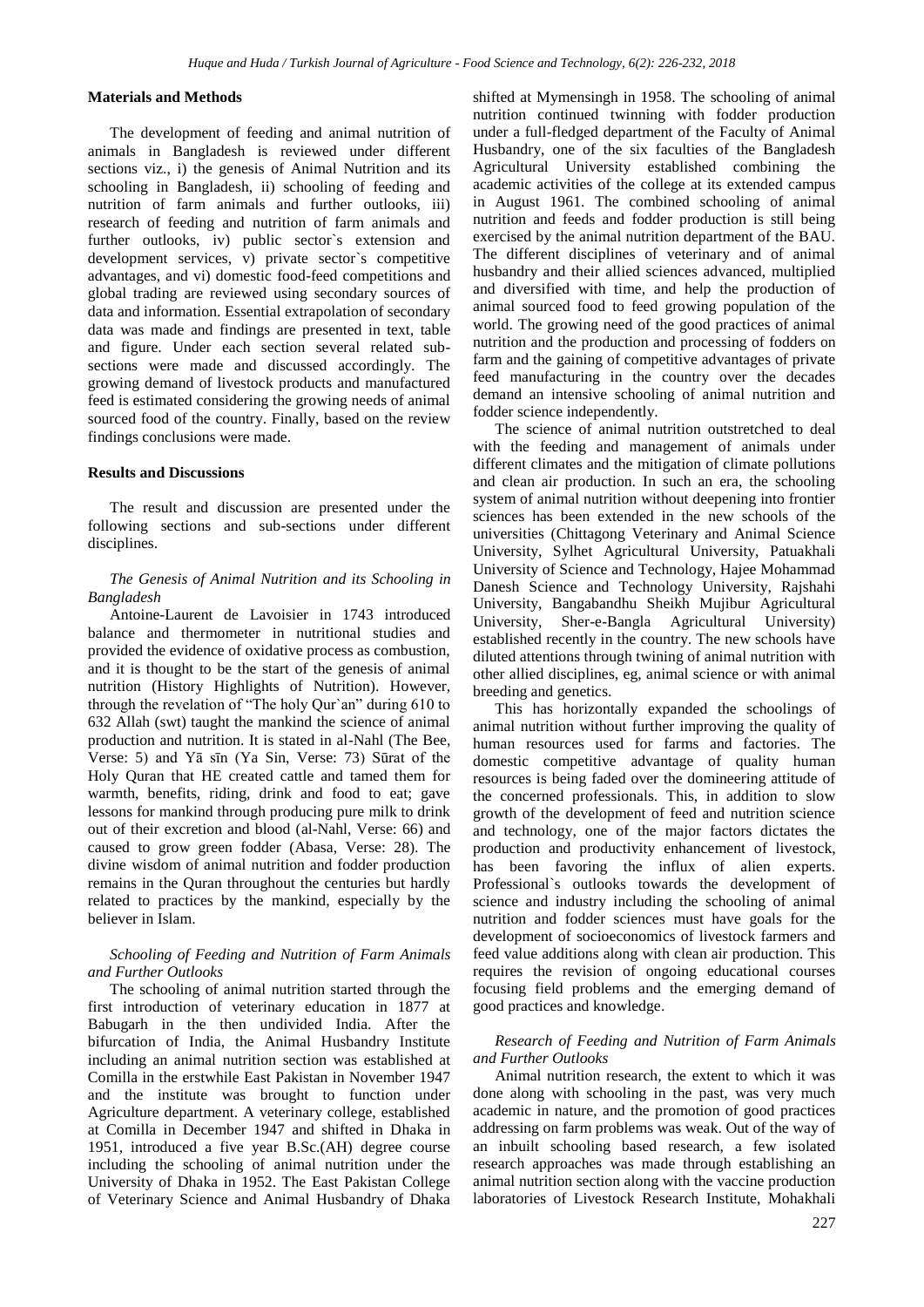## **Materials and Methods**

The development of feeding and animal nutrition of animals in Bangladesh is reviewed under different sections viz., i) the genesis of Animal Nutrition and its schooling in Bangladesh, ii) schooling of feeding and nutrition of farm animals and further outlooks, iii) research of feeding and nutrition of farm animals and further outlooks, iv) public sector`s extension and development services, v) private sector`s competitive advantages, and vi) domestic food-feed competitions and global trading are reviewed using secondary sources of data and information. Essential extrapolation of secondary data was made and findings are presented in text, table and figure. Under each section several related subsections were made and discussed accordingly. The growing demand of livestock products and manufactured feed is estimated considering the growing needs of animal sourced food of the country. Finally, based on the review findings conclusions were made.

#### **Results and Discussions**

The result and discussion are presented under the following sections and sub-sections under different disciplines.

## *The Genesis of Animal Nutrition and its Schooling in Bangladesh*

Antoine-Laurent de Lavoisier in 1743 introduced balance and thermometer in nutritional studies and provided the evidence of oxidative process as combustion, and it is thought to be the start of the genesis of animal nutrition (History Highlights of Nutrition). However, through the revelation of "The holy Qur`an" during 610 to 632 Allah (swt) taught the mankind the science of animal production and nutrition. It is stated in al-Nahl (The Bee, Verse: 5) and Yā sīn (Ya Sin, Verse: 73) Sūrat of the Holy Quran that HE created cattle and tamed them for warmth, benefits, riding, drink and food to eat; gave lessons for mankind through producing pure milk to drink out of their excretion and blood (al-Nahl, Verse: 66) and caused to grow green fodder (Abasa, Verse: 28). The divine wisdom of animal nutrition and fodder production remains in the Quran throughout the centuries but hardly related to practices by the mankind, especially by the believer in Islam.

#### *Schooling of Feeding and Nutrition of Farm Animals and Further Outlooks*

The schooling of animal nutrition started through the first introduction of veterinary education in 1877 at Babugarh in the then undivided India. After the bifurcation of India, the Animal Husbandry Institute including an animal nutrition section was established at Comilla in the erstwhile East Pakistan in November 1947 and the institute was brought to function under Agriculture department. A veterinary college, established at Comilla in December 1947 and shifted in Dhaka in 1951, introduced a five year B.Sc.(AH) degree course including the schooling of animal nutrition under the University of Dhaka in 1952. The East Pakistan College of Veterinary Science and Animal Husbandry of Dhaka shifted at Mymensingh in 1958. The schooling of animal nutrition continued twinning with fodder production under a full-fledged department of the Faculty of Animal Husbandry, one of the six faculties of the Bangladesh Agricultural University established combining the academic activities of the college at its extended campus in August 1961. The combined schooling of animal nutrition and feeds and fodder production is still being exercised by the animal nutrition department of the BAU. The different disciplines of veterinary and of animal husbandry and their allied sciences advanced, multiplied and diversified with time, and help the production of animal sourced food to feed growing population of the world. The growing need of the good practices of animal nutrition and the production and processing of fodders on farm and the gaining of competitive advantages of private feed manufacturing in the country over the decades demand an intensive schooling of animal nutrition and fodder science independently.

The science of animal nutrition outstretched to deal with the feeding and management of animals under different climates and the mitigation of climate pollutions and clean air production. In such an era, the schooling system of animal nutrition without deepening into frontier sciences has been extended in the new schools of the universities (Chittagong Veterinary and Animal Science University, Sylhet Agricultural University, Patuakhali University of Science and Technology, Hajee Mohammad Danesh Science and Technology University, Rajshahi University, Bangabandhu Sheikh Mujibur Agricultural University, Sher-e-Bangla Agricultural University) established recently in the country. The new schools have diluted attentions through twining of animal nutrition with other allied disciplines, eg, animal science or with animal breeding and genetics.

This has horizontally expanded the schoolings of animal nutrition without further improving the quality of human resources used for farms and factories. The domestic competitive advantage of quality human resources is being faded over the domineering attitude of the concerned professionals. This, in addition to slow growth of the development of feed and nutrition science and technology, one of the major factors dictates the production and productivity enhancement of livestock, has been favoring the influx of alien experts. Professional`s outlooks towards the development of science and industry including the schooling of animal nutrition and fodder sciences must have goals for the development of socioeconomics of livestock farmers and feed value additions along with clean air production. This requires the revision of ongoing educational courses focusing field problems and the emerging demand of good practices and knowledge.

#### *Research of Feeding and Nutrition of Farm Animals and Further Outlooks*

Animal nutrition research, the extent to which it was done along with schooling in the past, was very much academic in nature, and the promotion of good practices addressing on farm problems was weak. Out of the way of an inbuilt schooling based research, a few isolated research approaches was made through establishing an animal nutrition section along with the vaccine production laboratories of Livestock Research Institute, Mohakhali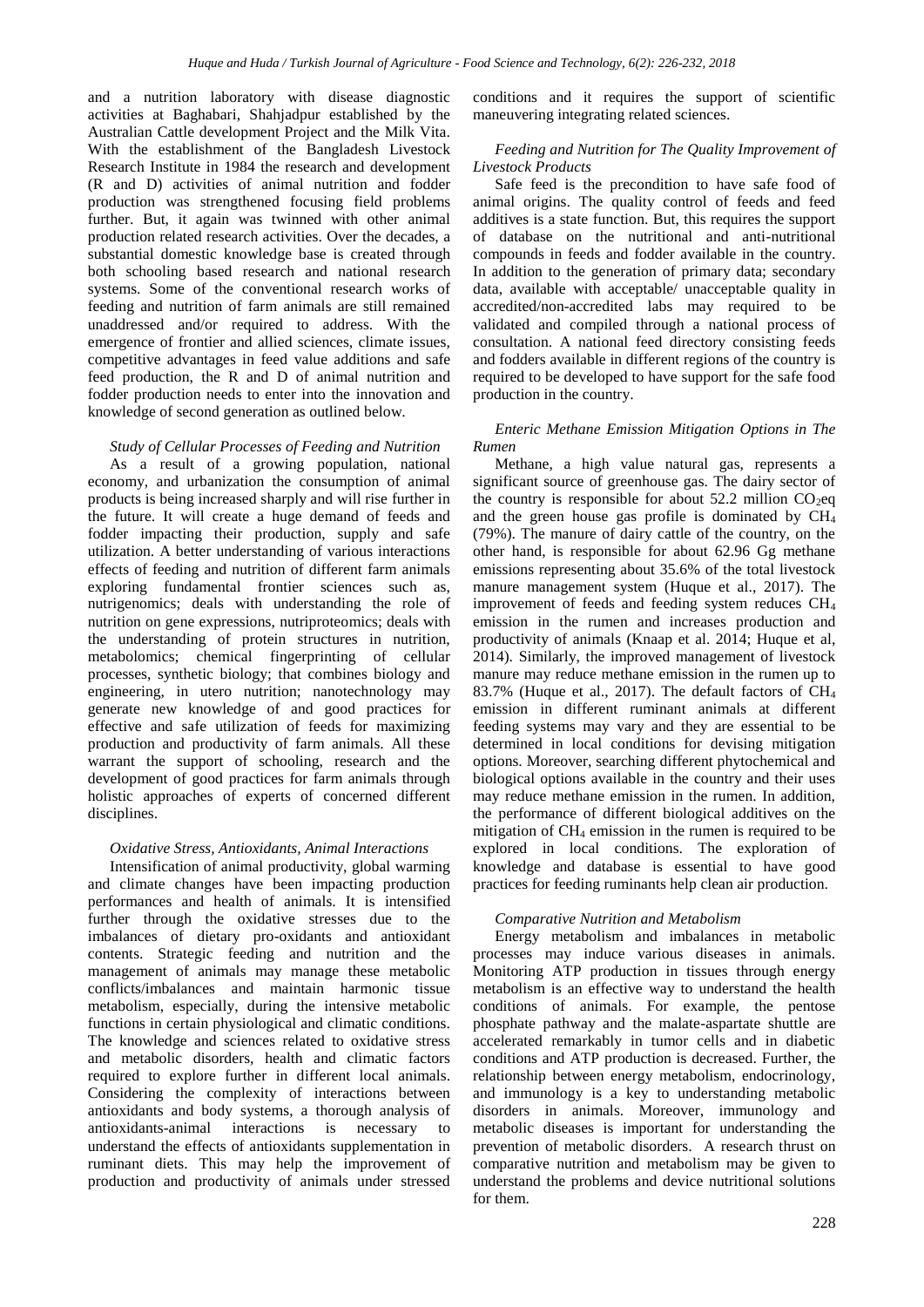and a nutrition laboratory with disease diagnostic activities at Baghabari, Shahjadpur established by the Australian Cattle development Project and the Milk Vita. With the establishment of the Bangladesh Livestock Research Institute in 1984 the research and development (R and D) activities of animal nutrition and fodder production was strengthened focusing field problems further. But, it again was twinned with other animal production related research activities. Over the decades, a substantial domestic knowledge base is created through both schooling based research and national research systems. Some of the conventional research works of feeding and nutrition of farm animals are still remained unaddressed and/or required to address. With the emergence of frontier and allied sciences, climate issues, competitive advantages in feed value additions and safe feed production, the R and D of animal nutrition and fodder production needs to enter into the innovation and knowledge of second generation as outlined below.

## *Study of Cellular Processes of Feeding and Nutrition*

As a result of a growing population, national economy, and urbanization the consumption of animal products is being increased sharply and will rise further in the future. It will create a huge demand of feeds and fodder impacting their production, supply and safe utilization. A better understanding of various interactions effects of feeding and nutrition of different farm animals exploring fundamental frontier sciences such as, nutrigenomics; deals with understanding the role of nutrition on gene expressions, nutriproteomics; deals with the understanding of protein structures in nutrition, metabolomics; chemical fingerprinting of cellular processes, synthetic biology; that combines biology and engineering, in utero nutrition; nanotechnology may generate new knowledge of and good practices for effective and safe utilization of feeds for maximizing production and productivity of farm animals. All these warrant the support of schooling, research and the development of good practices for farm animals through holistic approaches of experts of concerned different disciplines.

#### *Oxidative Stress, Antioxidants, Animal Interactions*

Intensification of animal productivity, global warming and climate changes have been impacting production performances and health of animals. It is intensified further through the oxidative stresses due to the imbalances of dietary pro-oxidants and antioxidant contents. Strategic feeding and nutrition and the management of animals may manage these metabolic conflicts/imbalances and maintain harmonic tissue metabolism, especially, during the intensive metabolic functions in certain physiological and climatic conditions. The knowledge and sciences related to oxidative stress and metabolic disorders, health and climatic factors required to explore further in different local animals. Considering the complexity of interactions between antioxidants and body systems, a thorough analysis of antioxidants-animal interactions is necessary to understand the effects of antioxidants supplementation in ruminant diets. This may help the improvement of production and productivity of animals under stressed conditions and it requires the support of scientific maneuvering integrating related sciences.

## *Feeding and Nutrition for The Quality Improvement of Livestock Products*

Safe feed is the precondition to have safe food of animal origins. The quality control of feeds and feed additives is a state function. But, this requires the support of database on the nutritional and anti-nutritional compounds in feeds and fodder available in the country. In addition to the generation of primary data; secondary data, available with acceptable/ unacceptable quality in accredited/non-accredited labs may required to be validated and compiled through a national process of consultation. A national feed directory consisting feeds and fodders available in different regions of the country is required to be developed to have support for the safe food production in the country.

#### *Enteric Methane Emission Mitigation Options in The Rumen*

Methane, a high value natural gas, represents a significant source of greenhouse gas. The dairy sector of the country is responsible for about  $52.2$  million CO<sub>2</sub>eq and the green house gas profile is dominated by CH<sup>4</sup> (79%). The manure of dairy cattle of the country, on the other hand, is responsible for about 62.96 Gg methane emissions representing about 35.6% of the total livestock manure management system (Huque et al., 2017). The improvement of feeds and feeding system reduces CH<sup>4</sup> emission in the rumen and increases production and productivity of animals (Knaap et al. 2014; Huque et al, 2014). Similarly, the improved management of livestock manure may reduce methane emission in the rumen up to 83.7% (Huque et al., 2017). The default factors of CH<sup>4</sup> emission in different ruminant animals at different feeding systems may vary and they are essential to be determined in local conditions for devising mitigation options. Moreover, searching different phytochemical and biological options available in the country and their uses may reduce methane emission in the rumen. In addition, the performance of different biological additives on the mitigation of CH<sup>4</sup> emission in the rumen is required to be explored in local conditions. The exploration of knowledge and database is essential to have good practices for feeding ruminants help clean air production.

#### *Comparative Nutrition and Metabolism*

Energy metabolism and imbalances in metabolic processes may induce various diseases in animals. Monitoring ATP production in tissues through energy metabolism is an effective way to understand the health conditions of animals. For example, the pentose phosphate pathway and the malate-aspartate shuttle are accelerated remarkably in tumor cells and in diabetic conditions and ATP production is decreased. Further, the relationship between energy metabolism, endocrinology, and immunology is a key to understanding metabolic disorders in animals. Moreover, immunology and metabolic diseases is important for understanding the prevention of metabolic disorders. A research thrust on comparative nutrition and metabolism may be given to understand the problems and device nutritional solutions for them.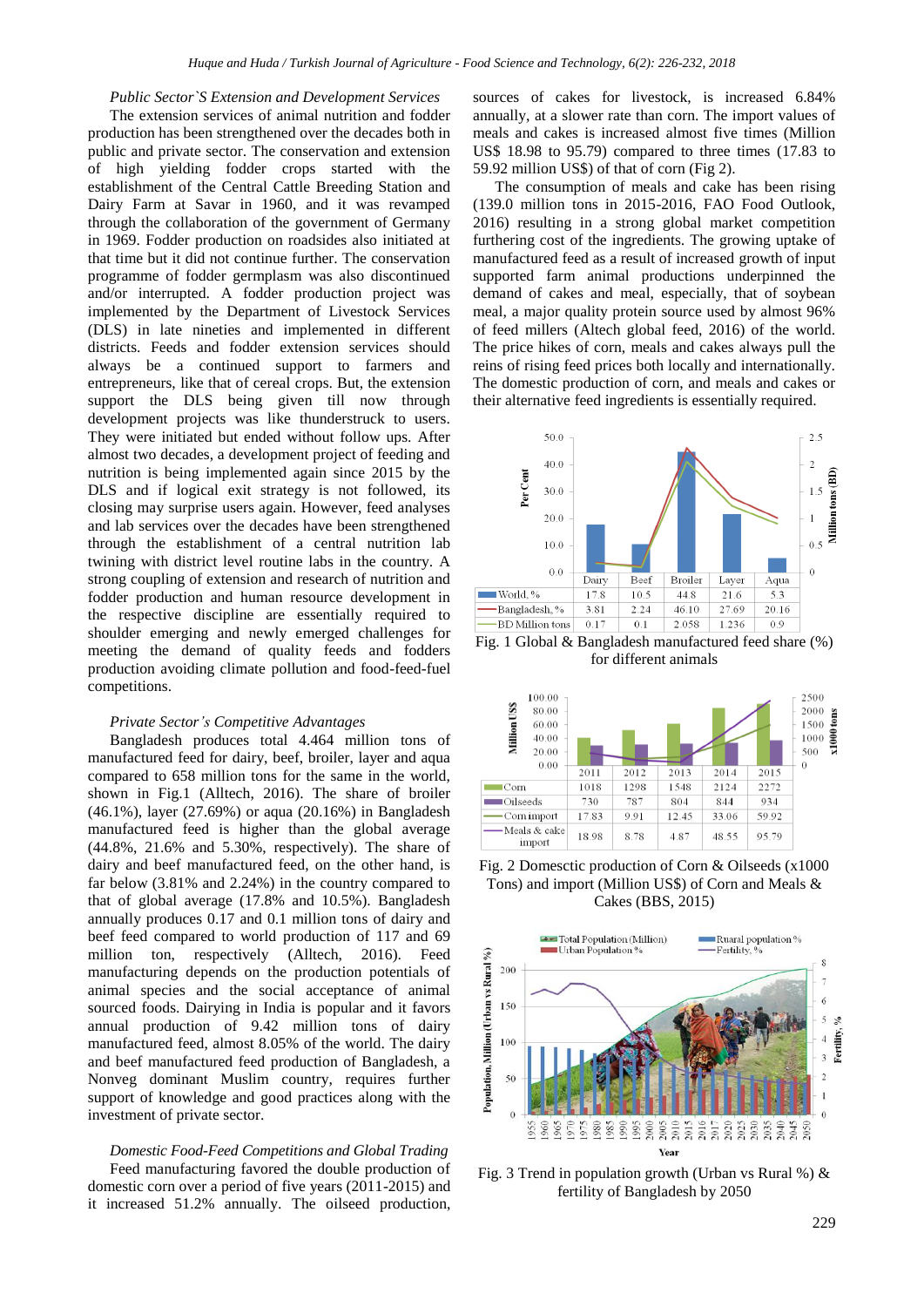#### *Public Sector`S Extension and Development Services*

The extension services of animal nutrition and fodder production has been strengthened over the decades both in public and private sector. The conservation and extension of high yielding fodder crops started with the establishment of the Central Cattle Breeding Station and Dairy Farm at Savar in 1960, and it was revamped through the collaboration of the government of Germany in 1969. Fodder production on roadsides also initiated at that time but it did not continue further. The conservation programme of fodder germplasm was also discontinued and/or interrupted. A fodder production project was implemented by the Department of Livestock Services (DLS) in late nineties and implemented in different districts. Feeds and fodder extension services should always be a continued support to farmers and entrepreneurs, like that of cereal crops. But, the extension support the DLS being given till now through development projects was like thunderstruck to users. They were initiated but ended without follow ups. After almost two decades, a development project of feeding and nutrition is being implemented again since 2015 by the DLS and if logical exit strategy is not followed, its closing may surprise users again. However, feed analyses and lab services over the decades have been strengthened through the establishment of a central nutrition lab twining with district level routine labs in the country. A strong coupling of extension and research of nutrition and fodder production and human resource development in the respective discipline are essentially required to shoulder emerging and newly emerged challenges for meeting the demand of quality feeds and fodders production avoiding climate pollution and food-feed-fuel competitions.

#### *Private Sector's Competitive Advantages*

Bangladesh produces total 4.464 million tons of manufactured feed for dairy, beef, broiler, layer and aqua compared to 658 million tons for the same in the world, shown in Fig.1 (Alltech, 2016). The share of broiler (46.1%), layer (27.69%) or aqua (20.16%) in Bangladesh manufactured feed is higher than the global average (44.8%, 21.6% and 5.30%, respectively). The share of dairy and beef manufactured feed, on the other hand, is far below (3.81% and 2.24%) in the country compared to that of global average (17.8% and 10.5%). Bangladesh annually produces 0.17 and 0.1 million tons of dairy and beef feed compared to world production of 117 and 69 million ton, respectively (Alltech, 2016). Feed manufacturing depends on the production potentials of animal species and the social acceptance of animal sourced foods. Dairying in India is popular and it favors annual production of 9.42 million tons of dairy manufactured feed, almost 8.05% of the world. The dairy and beef manufactured feed production of Bangladesh, a Nonveg dominant Muslim country, requires further support of knowledge and good practices along with the investment of private sector.

*Domestic Food-Feed Competitions and Global Trading* Feed manufacturing favored the double production of domestic corn over a period of five years (2011-2015) and it increased 51.2% annually. The oilseed production, sources of cakes for livestock, is increased 6.84% annually, at a slower rate than corn. The import values of meals and cakes is increased almost five times (Million US\$ 18.98 to 95.79) compared to three times (17.83 to 59.92 million US\$) of that of corn (Fig 2).

The consumption of meals and cake has been rising (139.0 million tons in 2015-2016, FAO Food Outlook, 2016) resulting in a strong global market competition furthering cost of the ingredients. The growing uptake of manufactured feed as a result of increased growth of input supported farm animal productions underpinned the demand of cakes and meal, especially, that of soybean meal, a major quality protein source used by almost 96% of feed millers (Altech global feed, 2016) of the world. The price hikes of corn, meals and cakes always pull the reins of rising feed prices both locally and internationally. The domestic production of corn, and meals and cakes or their alternative feed ingredients is essentially required.



for different animals



Fig. 2 Domesctic production of Corn & Oilseeds (x1000 Tons) and import (Million US\$) of Corn and Meals & Cakes (BBS, 2015)



Fig. 3 Trend in population growth (Urban vs Rural %) & fertility of Bangladesh by 2050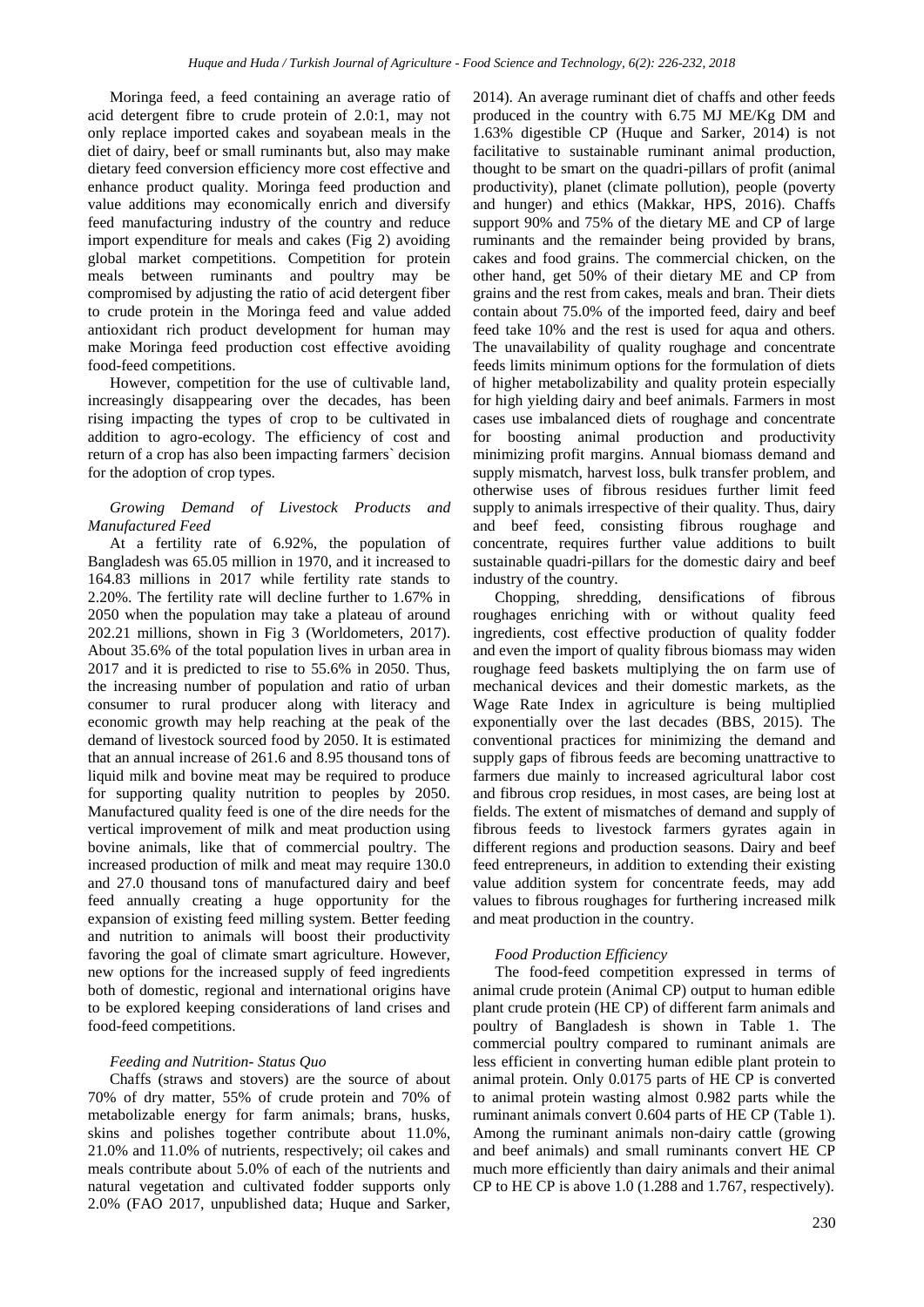Moringa feed, a feed containing an average ratio of acid detergent fibre to crude protein of 2.0:1, may not only replace imported cakes and soyabean meals in the diet of dairy, beef or small ruminants but, also may make dietary feed conversion efficiency more cost effective and enhance product quality. Moringa feed production and value additions may economically enrich and diversify feed manufacturing industry of the country and reduce import expenditure for meals and cakes (Fig 2) avoiding global market competitions. Competition for protein meals between ruminants and poultry may be compromised by adjusting the ratio of acid detergent fiber to crude protein in the Moringa feed and value added antioxidant rich product development for human may make Moringa feed production cost effective avoiding food-feed competitions.

However, competition for the use of cultivable land, increasingly disappearing over the decades, has been rising impacting the types of crop to be cultivated in addition to agro-ecology. The efficiency of cost and return of a crop has also been impacting farmers` decision for the adoption of crop types.

#### *Growing Demand of Livestock Products and Manufactured Feed*

At a fertility rate of 6.92%, the population of Bangladesh was 65.05 million in 1970, and it increased to 164.83 millions in 2017 while fertility rate stands to 2.20%. The fertility rate will decline further to 1.67% in 2050 when the population may take a plateau of around 202.21 millions, shown in Fig 3 (Worldometers, 2017). About 35.6% of the total population lives in urban area in 2017 and it is predicted to rise to 55.6% in 2050. Thus, the increasing number of population and ratio of urban consumer to rural producer along with literacy and economic growth may help reaching at the peak of the demand of livestock sourced food by 2050. It is estimated that an annual increase of 261.6 and 8.95 thousand tons of liquid milk and bovine meat may be required to produce for supporting quality nutrition to peoples by 2050. Manufactured quality feed is one of the dire needs for the vertical improvement of milk and meat production using bovine animals, like that of commercial poultry. The increased production of milk and meat may require 130.0 and 27.0 thousand tons of manufactured dairy and beef feed annually creating a huge opportunity for the expansion of existing feed milling system. Better feeding and nutrition to animals will boost their productivity favoring the goal of climate smart agriculture. However, new options for the increased supply of feed ingredients both of domestic, regional and international origins have to be explored keeping considerations of land crises and food-feed competitions.

#### *Feeding and Nutrition- Status Quo*

Chaffs (straws and stovers) are the source of about 70% of dry matter, 55% of crude protein and 70% of metabolizable energy for farm animals; brans, husks, skins and polishes together contribute about 11.0%, 21.0% and 11.0% of nutrients, respectively; oil cakes and meals contribute about 5.0% of each of the nutrients and natural vegetation and cultivated fodder supports only 2.0% (FAO 2017, unpublished data; Huque and Sarker, 2014). An average ruminant diet of chaffs and other feeds produced in the country with 6.75 MJ ME/Kg DM and 1.63% digestible CP (Huque and Sarker, 2014) is not facilitative to sustainable ruminant animal production, thought to be smart on the quadri-pillars of profit (animal productivity), planet (climate pollution), people (poverty and hunger) and ethics (Makkar, HPS, 2016). Chaffs support 90% and 75% of the dietary ME and CP of large ruminants and the remainder being provided by brans, cakes and food grains. The commercial chicken, on the other hand, get 50% of their dietary ME and CP from grains and the rest from cakes, meals and bran. Their diets contain about 75.0% of the imported feed, dairy and beef feed take 10% and the rest is used for aqua and others. The unavailability of quality roughage and concentrate feeds limits minimum options for the formulation of diets of higher metabolizability and quality protein especially for high yielding dairy and beef animals. Farmers in most cases use imbalanced diets of roughage and concentrate for boosting animal production and productivity minimizing profit margins. Annual biomass demand and supply mismatch, harvest loss, bulk transfer problem, and otherwise uses of fibrous residues further limit feed supply to animals irrespective of their quality. Thus, dairy and beef feed, consisting fibrous roughage and concentrate, requires further value additions to built sustainable quadri-pillars for the domestic dairy and beef industry of the country.

Chopping, shredding, densifications of fibrous roughages enriching with or without quality feed ingredients, cost effective production of quality fodder and even the import of quality fibrous biomass may widen roughage feed baskets multiplying the on farm use of mechanical devices and their domestic markets, as the Wage Rate Index in agriculture is being multiplied exponentially over the last decades (BBS, 2015). The conventional practices for minimizing the demand and supply gaps of fibrous feeds are becoming unattractive to farmers due mainly to increased agricultural labor cost and fibrous crop residues, in most cases, are being lost at fields. The extent of mismatches of demand and supply of fibrous feeds to livestock farmers gyrates again in different regions and production seasons. Dairy and beef feed entrepreneurs, in addition to extending their existing value addition system for concentrate feeds, may add values to fibrous roughages for furthering increased milk and meat production in the country.

#### *Food Production Efficiency*

The food-feed competition expressed in terms of animal crude protein (Animal CP) output to human edible plant crude protein (HE CP) of different farm animals and poultry of Bangladesh is shown in Table 1. The commercial poultry compared to ruminant animals are less efficient in converting human edible plant protein to animal protein. Only 0.0175 parts of HE CP is converted to animal protein wasting almost 0.982 parts while the ruminant animals convert 0.604 parts of HE CP (Table 1). Among the ruminant animals non-dairy cattle (growing and beef animals) and small ruminants convert HE CP much more efficiently than dairy animals and their animal CP to HE CP is above 1.0 (1.288 and 1.767, respectively).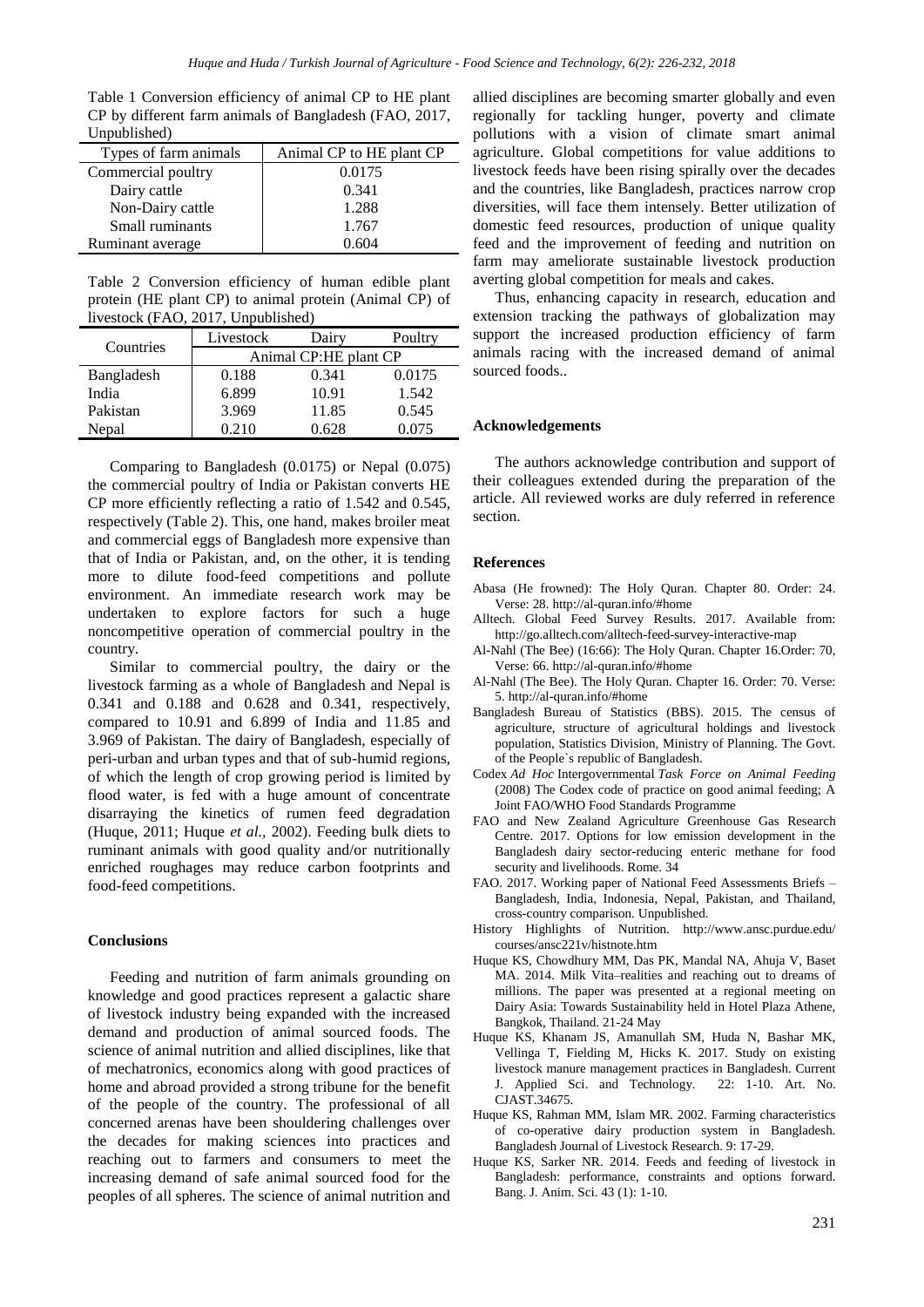Table 1 Conversion efficiency of animal CP to HE plant CP by different farm animals of Bangladesh (FAO, 2017, Unpublished)

| Types of farm animals | Animal CP to HE plant CP |  |
|-----------------------|--------------------------|--|
| Commercial poultry    | 0.0175                   |  |
| Dairy cattle          | 0.341                    |  |
| Non-Dairy cattle      | 1.288                    |  |
| Small ruminants       | 1.767                    |  |
| Ruminant average      | -604                     |  |

Table 2 Conversion efficiency of human edible plant protein (HE plant CP) to animal protein (Animal CP) of livestock (FAO, 2017, Unpublished)

| Countries  | Livestock             | Dairy | Poultry |
|------------|-----------------------|-------|---------|
|            | Animal CP:HE plant CP |       |         |
| Bangladesh | 0.188                 | 0.341 | 0.0175  |
| India      | 6.899                 | 10.91 | 1.542   |
| Pakistan   | 3.969                 | 11.85 | 0.545   |
| Nepal      | 0.210                 | 0.628 | 0.075   |

Comparing to Bangladesh (0.0175) or Nepal (0.075) the commercial poultry of India or Pakistan converts HE CP more efficiently reflecting a ratio of 1.542 and 0.545, respectively (Table 2). This, one hand, makes broiler meat and commercial eggs of Bangladesh more expensive than that of India or Pakistan, and, on the other, it is tending more to dilute food-feed competitions and pollute environment. An immediate research work may be undertaken to explore factors for such a huge noncompetitive operation of commercial poultry in the country.

Similar to commercial poultry, the dairy or the livestock farming as a whole of Bangladesh and Nepal is 0.341 and 0.188 and 0.628 and 0.341, respectively, compared to 10.91 and 6.899 of India and 11.85 and 3.969 of Pakistan. The dairy of Bangladesh, especially of peri-urban and urban types and that of sub-humid regions, of which the length of crop growing period is limited by flood water, is fed with a huge amount of concentrate disarraying the kinetics of rumen feed degradation (Huque, 2011; Huque *et al.,* 2002). Feeding bulk diets to ruminant animals with good quality and/or nutritionally enriched roughages may reduce carbon footprints and food-feed competitions.

#### **Conclusions**

Feeding and nutrition of farm animals grounding on knowledge and good practices represent a galactic share of livestock industry being expanded with the increased demand and production of animal sourced foods. The science of animal nutrition and allied disciplines, like that of mechatronics, economics along with good practices of home and abroad provided a strong tribune for the benefit of the people of the country. The professional of all concerned arenas have been shouldering challenges over the decades for making sciences into practices and reaching out to farmers and consumers to meet the increasing demand of safe animal sourced food for the peoples of all spheres. The science of animal nutrition and

allied disciplines are becoming smarter globally and even regionally for tackling hunger, poverty and climate pollutions with a vision of climate smart animal agriculture. Global competitions for value additions to livestock feeds have been rising spirally over the decades and the countries, like Bangladesh, practices narrow crop diversities, will face them intensely. Better utilization of domestic feed resources, production of unique quality feed and the improvement of feeding and nutrition on farm may ameliorate sustainable livestock production averting global competition for meals and cakes.

Thus, enhancing capacity in research, education and extension tracking the pathways of globalization may support the increased production efficiency of farm animals racing with the increased demand of animal sourced foods..

#### **Acknowledgements**

The authors acknowledge contribution and support of their colleagues extended during the preparation of the article. All reviewed works are duly referred in reference section.

#### **References**

- Abasa (He frowned): The Holy Quran. Chapter 80. Order: 24. Verse: 28. http://al-quran.info/#home
- Alltech. Global Feed Survey Results. 2017. Available from: http://go.alltech.com/alltech-feed-survey-interactive-map
- Al-Nahl (The Bee) (16:66): The Holy Quran. Chapter 16.Order: 70, Verse: 66. http://al-quran.info/#home
- Al-Nahl (The Bee). The Holy Quran. Chapter 16. Order: 70. Verse: 5. http://al-quran.info/#home
- Bangladesh Bureau of Statistics (BBS). 2015. The census of agriculture, structure of agricultural holdings and livestock population, Statistics Division, Ministry of Planning. The Govt. of the People`s republic of Bangladesh.
- Codex *Ad Hoc* Intergovernmental *Task Force on Animal Feeding* (2008) The Codex code of practice on good animal feeding; A Joint FAO/WHO Food Standards Programme
- FAO and New Zealand Agriculture Greenhouse Gas Research Centre. 2017. Options for low emission development in the Bangladesh dairy sector-reducing enteric methane for food security and livelihoods. Rome. 34
- FAO. 2017. Working paper of National Feed Assessments Briefs Bangladesh, India, Indonesia, Nepal, Pakistan, and Thailand, cross-country comparison. Unpublished.
- History Highlights of Nutrition. http://www.ansc.purdue.edu/ courses/ansc221v/histnote.htm
- Huque KS, Chowdhury MM, Das PK, Mandal NA, Ahuja V, Baset MA. 2014. Milk Vita–realities and reaching out to dreams of millions. The paper was presented at a regional meeting on Dairy Asia: Towards Sustainability held in Hotel Plaza Athene, Bangkok, Thailand. 21-24 May
- Huque KS, Khanam JS, Amanullah SM, Huda N, Bashar MK, Vellinga T, Fielding M, Hicks K. 2017. Study on existing livestock manure management practices in Bangladesh. Current J. Applied Sci. and Technology. 22: 1-10. Art. No. CJAST.34675.
- Huque KS, Rahman MM, Islam MR. 2002. Farming characteristics of co-operative dairy production system in Bangladesh. Bangladesh Journal of Livestock Research. 9: 17-29.
- Huque KS, Sarker NR. 2014. Feeds and feeding of livestock in Bangladesh: performance, constraints and options forward. Bang. J. Anim. Sci. 43 (1): 1-10.